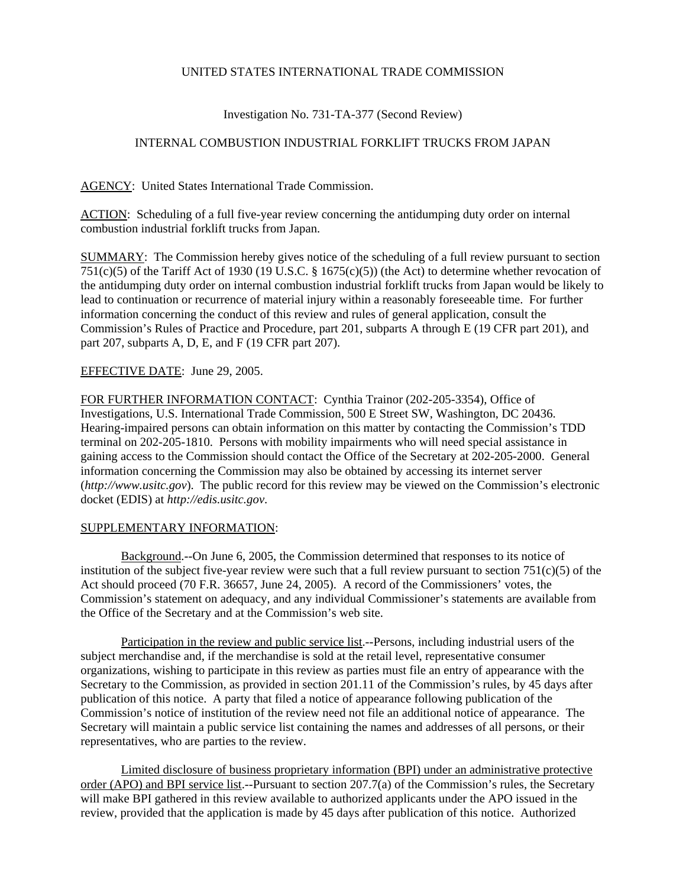## UNITED STATES INTERNATIONAL TRADE COMMISSION

# Investigation No. 731-TA-377 (Second Review)

## INTERNAL COMBUSTION INDUSTRIAL FORKLIFT TRUCKS FROM JAPAN

AGENCY: United States International Trade Commission.

ACTION: Scheduling of a full five-year review concerning the antidumping duty order on internal combustion industrial forklift trucks from Japan.

SUMMARY: The Commission hereby gives notice of the scheduling of a full review pursuant to section 751(c)(5) of the Tariff Act of 1930 (19 U.S.C. § 1675(c)(5)) (the Act) to determine whether revocation of the antidumping duty order on internal combustion industrial forklift trucks from Japan would be likely to lead to continuation or recurrence of material injury within a reasonably foreseeable time. For further information concerning the conduct of this review and rules of general application, consult the Commission's Rules of Practice and Procedure, part 201, subparts A through E (19 CFR part 201), and part 207, subparts A, D, E, and F (19 CFR part 207).

## EFFECTIVE DATE: June 29, 2005.

FOR FURTHER INFORMATION CONTACT: Cynthia Trainor (202-205-3354), Office of Investigations, U.S. International Trade Commission, 500 E Street SW, Washington, DC 20436. Hearing-impaired persons can obtain information on this matter by contacting the Commission's TDD terminal on 202-205-1810. Persons with mobility impairments who will need special assistance in gaining access to the Commission should contact the Office of the Secretary at 202-205-2000. General information concerning the Commission may also be obtained by accessing its internet server (*http://www.usitc.gov*). The public record for this review may be viewed on the Commission's electronic docket (EDIS) at *http://edis.usitc.gov*.

## SUPPLEMENTARY INFORMATION:

Background.--On June 6, 2005, the Commission determined that responses to its notice of institution of the subject five-year review were such that a full review pursuant to section  $751(c)(5)$  of the Act should proceed (70 F.R. 36657, June 24, 2005). A record of the Commissioners' votes, the Commission's statement on adequacy, and any individual Commissioner's statements are available from the Office of the Secretary and at the Commission's web site.

Participation in the review and public service list.--Persons, including industrial users of the subject merchandise and, if the merchandise is sold at the retail level, representative consumer organizations, wishing to participate in this review as parties must file an entry of appearance with the Secretary to the Commission, as provided in section 201.11 of the Commission's rules, by 45 days after publication of this notice. A party that filed a notice of appearance following publication of the Commission's notice of institution of the review need not file an additional notice of appearance. The Secretary will maintain a public service list containing the names and addresses of all persons, or their representatives, who are parties to the review.

Limited disclosure of business proprietary information (BPI) under an administrative protective order (APO) and BPI service list.--Pursuant to section 207.7(a) of the Commission's rules, the Secretary will make BPI gathered in this review available to authorized applicants under the APO issued in the review, provided that the application is made by 45 days after publication of this notice. Authorized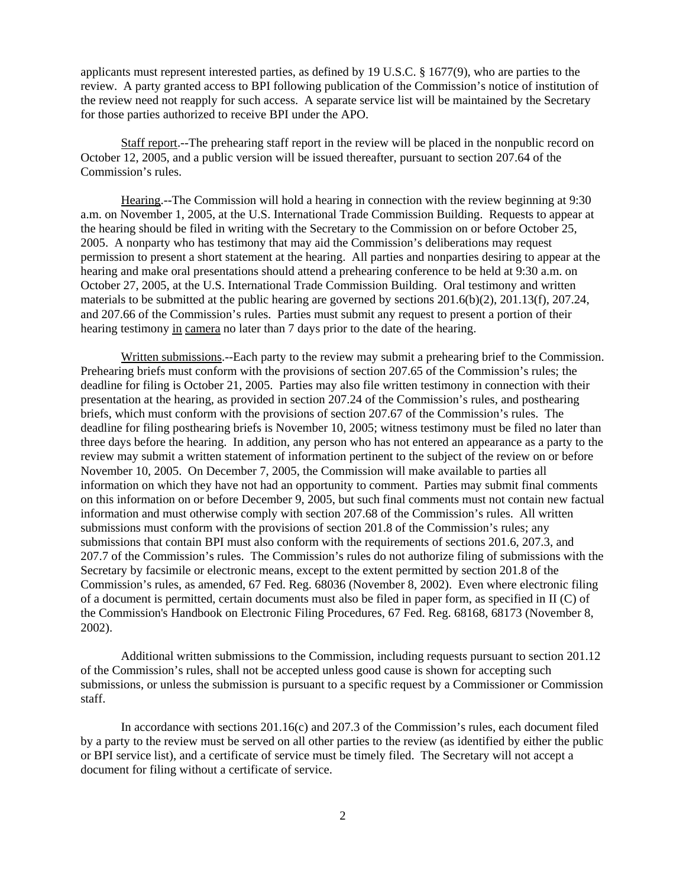applicants must represent interested parties, as defined by 19 U.S.C. § 1677(9), who are parties to the review. A party granted access to BPI following publication of the Commission's notice of institution of the review need not reapply for such access. A separate service list will be maintained by the Secretary for those parties authorized to receive BPI under the APO.

Staff report.--The prehearing staff report in the review will be placed in the nonpublic record on October 12, 2005, and a public version will be issued thereafter, pursuant to section 207.64 of the Commission's rules.

Hearing.--The Commission will hold a hearing in connection with the review beginning at 9:30 a.m. on November 1, 2005, at the U.S. International Trade Commission Building. Requests to appear at the hearing should be filed in writing with the Secretary to the Commission on or before October 25, 2005. A nonparty who has testimony that may aid the Commission's deliberations may request permission to present a short statement at the hearing. All parties and nonparties desiring to appear at the hearing and make oral presentations should attend a prehearing conference to be held at 9:30 a.m. on October 27, 2005, at the U.S. International Trade Commission Building. Oral testimony and written materials to be submitted at the public hearing are governed by sections 201.6(b)(2), 201.13(f), 207.24, and 207.66 of the Commission's rules. Parties must submit any request to present a portion of their hearing testimony in camera no later than 7 days prior to the date of the hearing.

Written submissions.--Each party to the review may submit a prehearing brief to the Commission. Prehearing briefs must conform with the provisions of section 207.65 of the Commission's rules; the deadline for filing is October 21, 2005. Parties may also file written testimony in connection with their presentation at the hearing, as provided in section 207.24 of the Commission's rules, and posthearing briefs, which must conform with the provisions of section 207.67 of the Commission's rules. The deadline for filing posthearing briefs is November 10, 2005; witness testimony must be filed no later than three days before the hearing. In addition, any person who has not entered an appearance as a party to the review may submit a written statement of information pertinent to the subject of the review on or before November 10, 2005. On December 7, 2005, the Commission will make available to parties all information on which they have not had an opportunity to comment. Parties may submit final comments on this information on or before December 9, 2005, but such final comments must not contain new factual information and must otherwise comply with section 207.68 of the Commission's rules. All written submissions must conform with the provisions of section 201.8 of the Commission's rules; any submissions that contain BPI must also conform with the requirements of sections 201.6, 207.3, and 207.7 of the Commission's rules. The Commission's rules do not authorize filing of submissions with the Secretary by facsimile or electronic means, except to the extent permitted by section 201.8 of the Commission's rules, as amended, 67 Fed. Reg. 68036 (November 8, 2002). Even where electronic filing of a document is permitted, certain documents must also be filed in paper form, as specified in II (C) of the Commission's Handbook on Electronic Filing Procedures, 67 Fed. Reg. 68168, 68173 (November 8, 2002).

Additional written submissions to the Commission, including requests pursuant to section 201.12 of the Commission's rules, shall not be accepted unless good cause is shown for accepting such submissions, or unless the submission is pursuant to a specific request by a Commissioner or Commission staff.

In accordance with sections 201.16(c) and 207.3 of the Commission's rules, each document filed by a party to the review must be served on all other parties to the review (as identified by either the public or BPI service list), and a certificate of service must be timely filed. The Secretary will not accept a document for filing without a certificate of service.